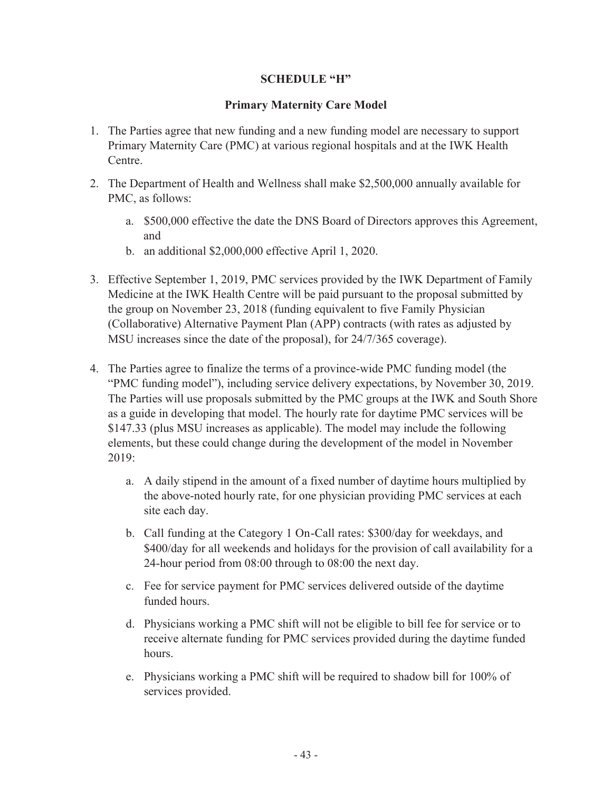## **SCHEDULE "H"**

## **Primary Maternity Care Model**

- 1. The Parties agree that new funding and a new funding model are necessary to support Primary Maternity Care (PMC) at various regional hospitals and at the IWK Health Centre.
- 2. The Department of Health and Wellness shall make \$2,500,000 annually available for PMC, as follows:
	- a. \$500,000 effective the date the DNS Board of Directors approves this Agreement, and
	- b. an additional \$2,000,000 effective April 1, 2020.
- 3. Effective September 1, 2019, PMC services provided by the IWK Department of Family Medicine at the IWK Health Centre will be paid pursuant to the proposal submitted by the group on November 23, 2018 (funding equivalent to five Family Physician (Collaborative) Alternative Payment Plan (APP) contracts (with rates as adjusted by MSU increases since the date of the proposal), for 24/7/365 coverage).
- 4. The Parties agree to finalize the terms of a province-wide PMC funding model (the "PMC funding model"), including service delivery expectations, by November 30, 2019. The Parties will use proposals submitted by the PMC groups at the IWK and South Shore as a guide in developing that model. The hourly rate for daytime PMC services will be \$147.33 (plus MSU increases as applicable). The model may include the following elements, but these could change during the development of the model in November 2019:
	- a. A daily stipend in the amount of a fixed number of daytime hours multiplied by the above-noted hourly rate, for one physician providing PMC services at each site each day.
	- b. Call funding at the Category 1 On-Call rates: \$300/day for weekdays, and \$400/day for all weekends and holidays for the provision of call availability for a 24-hour period from 08:00 through to 08:00 the next day.
	- c. Fee for service payment for PMC services delivered outside of the daytime funded hours.
	- d. Physicians working a PMC shift will not be eligible to bill fee for service or to receive alternate funding for PMC services provided during the daytime funded hours.
	- e. Physicians working a PMC shift will be required to shadow bill for 100% of services provided.